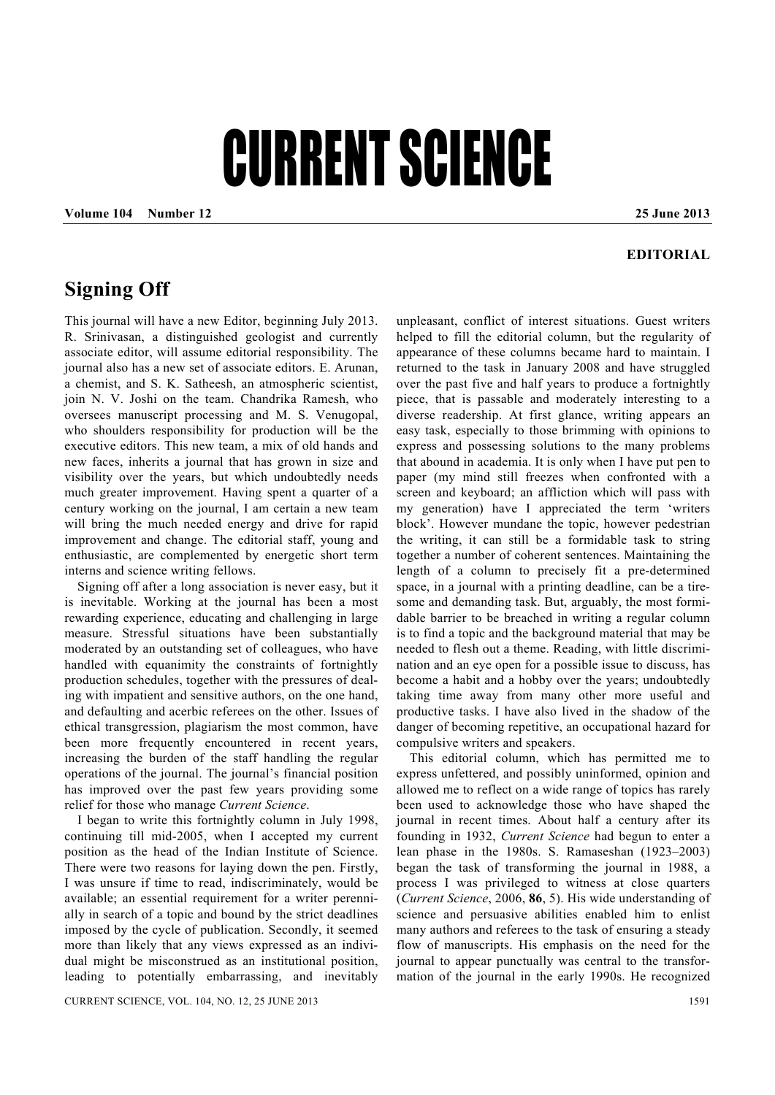## CURRENT SCIENCE

**Volume 104 Number 12 25 June 2013** 

## **EDITORIAL**

## **Signing Off**

This journal will have a new Editor, beginning July 2013. R. Srinivasan, a distinguished geologist and currently associate editor, will assume editorial responsibility. The journal also has a new set of associate editors. E. Arunan, a chemist, and S. K. Satheesh, an atmospheric scientist, join N. V. Joshi on the team. Chandrika Ramesh, who oversees manuscript processing and M. S. Venugopal, who shoulders responsibility for production will be the executive editors. This new team, a mix of old hands and new faces, inherits a journal that has grown in size and visibility over the years, but which undoubtedly needs much greater improvement. Having spent a quarter of a century working on the journal, I am certain a new team will bring the much needed energy and drive for rapid improvement and change. The editorial staff, young and enthusiastic, are complemented by energetic short term interns and science writing fellows.

 Signing off after a long association is never easy, but it is inevitable. Working at the journal has been a most rewarding experience, educating and challenging in large measure. Stressful situations have been substantially moderated by an outstanding set of colleagues, who have handled with equanimity the constraints of fortnightly production schedules, together with the pressures of dealing with impatient and sensitive authors, on the one hand, and defaulting and acerbic referees on the other. Issues of ethical transgression, plagiarism the most common, have been more frequently encountered in recent years, increasing the burden of the staff handling the regular operations of the journal. The journal's financial position has improved over the past few years providing some relief for those who manage *Current Science*.

 I began to write this fortnightly column in July 1998, continuing till mid-2005, when I accepted my current position as the head of the Indian Institute of Science. There were two reasons for laying down the pen. Firstly, I was unsure if time to read, indiscriminately, would be available; an essential requirement for a writer perennially in search of a topic and bound by the strict deadlines imposed by the cycle of publication. Secondly, it seemed more than likely that any views expressed as an individual might be misconstrued as an institutional position, leading to potentially embarrassing, and inevitably

unpleasant, conflict of interest situations. Guest writers helped to fill the editorial column, but the regularity of appearance of these columns became hard to maintain. I returned to the task in January 2008 and have struggled over the past five and half years to produce a fortnightly piece, that is passable and moderately interesting to a diverse readership. At first glance, writing appears an easy task, especially to those brimming with opinions to express and possessing solutions to the many problems that abound in academia. It is only when I have put pen to paper (my mind still freezes when confronted with a screen and keyboard; an affliction which will pass with my generation) have I appreciated the term 'writers block'. However mundane the topic, however pedestrian the writing, it can still be a formidable task to string together a number of coherent sentences. Maintaining the length of a column to precisely fit a pre-determined space, in a journal with a printing deadline, can be a tiresome and demanding task. But, arguably, the most formidable barrier to be breached in writing a regular column is to find a topic and the background material that may be needed to flesh out a theme. Reading, with little discrimination and an eye open for a possible issue to discuss, has become a habit and a hobby over the years; undoubtedly taking time away from many other more useful and productive tasks. I have also lived in the shadow of the danger of becoming repetitive, an occupational hazard for compulsive writers and speakers.

 This editorial column, which has permitted me to express unfettered, and possibly uninformed, opinion and allowed me to reflect on a wide range of topics has rarely been used to acknowledge those who have shaped the journal in recent times. About half a century after its founding in 1932, *Current Science* had begun to enter a lean phase in the 1980s. S. Ramaseshan (1923–2003) began the task of transforming the journal in 1988, a process I was privileged to witness at close quarters (*Current Science*, 2006, **86**, 5). His wide understanding of science and persuasive abilities enabled him to enlist many authors and referees to the task of ensuring a steady flow of manuscripts. His emphasis on the need for the journal to appear punctually was central to the transformation of the journal in the early 1990s. He recognized